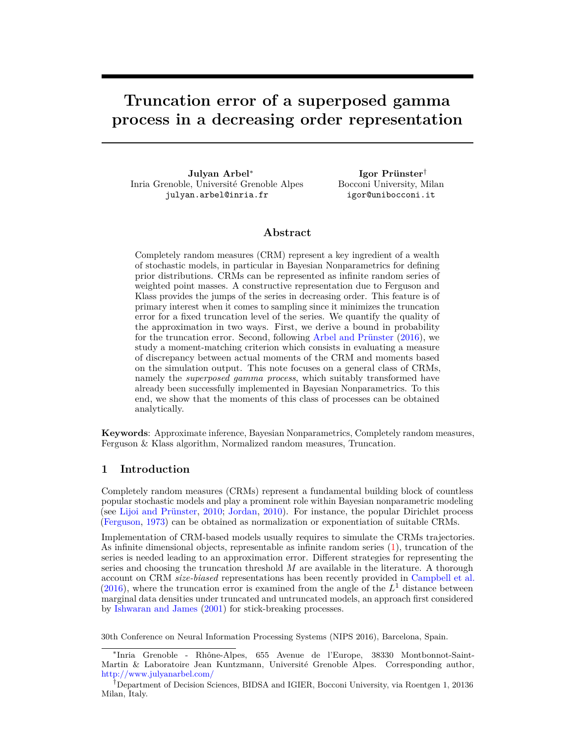# **Truncation error of a superposed gamma process in a decreasing order representation**

**Julyan Arbel**<sup>∗</sup> Inria Grenoble, Université Grenoble Alpes julyan.arbel@inria.fr

**Igor Prünster**† Bocconi University, Milan igor@unibocconi.it

# **Abstract**

Completely random measures (CRM) represent a key ingredient of a wealth of stochastic models, in particular in Bayesian Nonparametrics for defining prior distributions. CRMs can be represented as infinite random series of weighted point masses. A constructive representation due to Ferguson and Klass provides the jumps of the series in decreasing order. This feature is of primary interest when it comes to sampling since it minimizes the truncation error for a fixed truncation level of the series. We quantify the quality of the approximation in two ways. First, we derive a bound in probability for the truncation error. Second, following [Arbel and Prünster](#page-4-0) [\(2016\)](#page-4-0), we study a moment-matching criterion which consists in evaluating a measure of discrepancy between actual moments of the CRM and moments based on the simulation output. This note focuses on a general class of CRMs, namely the *superposed gamma process*, which suitably transformed have already been successfully implemented in Bayesian Nonparametrics. To this end, we show that the moments of this class of processes can be obtained analytically.

**Keywords**: Approximate inference, Bayesian Nonparametrics, Completely random measures, Ferguson & Klass algorithm, Normalized random measures, Truncation.

# **1 Introduction**

Completely random measures (CRMs) represent a fundamental building block of countless popular stochastic models and play a prominent role within Bayesian nonparametric modeling (see [Lijoi and Prünster,](#page-4-1) [2010;](#page-4-1) [Jordan,](#page-4-2) [2010\)](#page-4-2). For instance, the popular Dirichlet process [\(Ferguson,](#page-4-3) [1973\)](#page-4-3) can be obtained as normalization or exponentiation of suitable CRMs.

Implementation of CRM-based models usually requires to simulate the CRMs trajectories. As infinite dimensional objects, representable as infinite random series [\(1\)](#page-1-0), truncation of the series is needed leading to an approximation error. Different strategies for representing the series and choosing the truncation threshold *M* are available in the literature. A thorough account on CRM *size-biased* representations has been recently provided in [Campbell et al.](#page-4-4)  $(2016)$ , where the truncation error is examined from the angle of the  $L<sup>1</sup>$  distance between marginal data densities under truncated and untruncated models, an approach first considered by [Ishwaran and James](#page-4-5) [\(2001\)](#page-4-5) for stick-breaking processes.

30th Conference on Neural Information Processing Systems (NIPS 2016), Barcelona, Spain.

<sup>∗</sup> Inria Grenoble - Rhône-Alpes, 655 Avenue de l'Europe, 38330 Montbonnot-Saint-Martin & Laboratoire Jean Kuntzmann, Université Grenoble Alpes. Corresponding author, <http://www.julyanarbel.com/>

<sup>†</sup>Department of Decision Sciences, BIDSA and IGIER, Bocconi University, via Roentgen 1, 20136 Milan, Italy.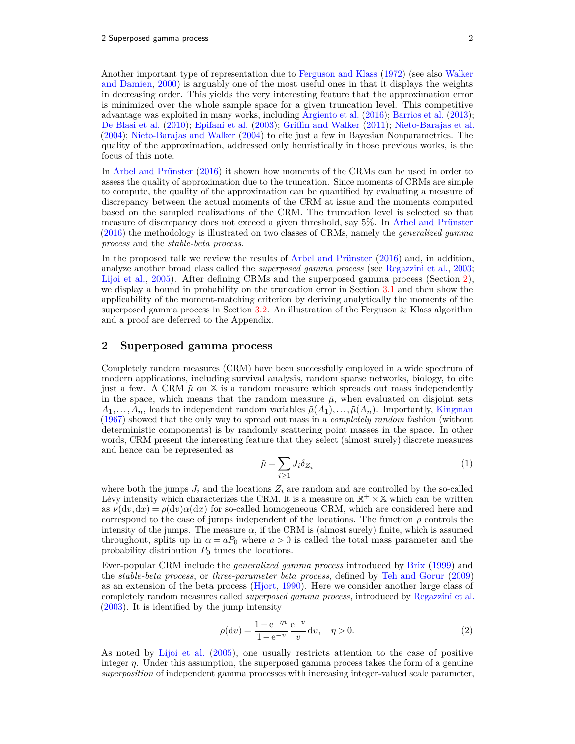Another important type of representation due to [Ferguson and Klass](#page-4-6) [\(1972\)](#page-4-6) (see also [Walker](#page-4-7) [and Damien,](#page-4-7) [2000\)](#page-4-7) is arguably one of the most useful ones in that it displays the weights in decreasing order. This yields the very interesting feature that the approximation error is minimized over the whole sample space for a given truncation level. This competitive advantage was exploited in many works, including [Argiento et al.](#page-4-8) [\(2016\)](#page-4-8); [Barrios et al.](#page-4-9) [\(2013\)](#page-4-9); [De Blasi et al.](#page-4-10) [\(2010\)](#page-4-10); [Epifani et al.](#page-4-11) [\(2003\)](#page-4-11); [Griffin and Walker](#page-4-12) [\(2011\)](#page-4-12); [Nieto-Barajas et al.](#page-4-13) [\(2004\)](#page-4-13); [Nieto-Barajas and Walker](#page-4-14) [\(2004\)](#page-4-14) to cite just a few in Bayesian Nonparametrics. The quality of the approximation, addressed only heuristically in those previous works, is the focus of this note.

In [Arbel and Prünster](#page-4-0) [\(2016\)](#page-4-0) it shown how moments of the CRMs can be used in order to assess the quality of approximation due to the truncation. Since moments of CRMs are simple to compute, the quality of the approximation can be quantified by evaluating a measure of discrepancy between the actual moments of the CRM at issue and the moments computed based on the sampled realizations of the CRM. The truncation level is selected so that measure of discrepancy does not exceed a given threshold, say 5%. In [Arbel and Prünster](#page-4-0) [\(2016\)](#page-4-0) the methodology is illustrated on two classes of CRMs, namely the *generalized gamma process* and the *stable-beta process*.

In the proposed talk we review the results of [Arbel and Prünster](#page-4-0) [\(2016\)](#page-4-0) and, in addition, analyze another broad class called the *superposed gamma process* (see [Regazzini et al.,](#page-4-15) [2003;](#page-4-15) [Lijoi et al.,](#page-4-16) [2005\)](#page-4-16). After defining CRMs and the superposed gamma process (Section [2\)](#page-1-1), we display a bound in probability on the truncation error in Section [3.1](#page-2-0) and then show the applicability of the moment-matching criterion by deriving analytically the moments of the superposed gamma process in Section [3.2.](#page-3-0) An illustration of the Ferguson  $\&$  Klass algorithm and a proof are deferred to the Appendix.

# <span id="page-1-1"></span>**2 Superposed gamma process**

Completely random measures (CRM) have been successfully employed in a wide spectrum of modern applications, including survival analysis, random sparse networks, biology, to cite just a few. A CRM  $\tilde{\mu}$  on  $\tilde{\chi}$  is a random measure which spreads out mass independently in the space, which means that the random measure  $\tilde{\mu}$ , when evaluated on disjoint sets  $A_1, \ldots, A_n$ , leads to independent random variables  $\tilde{\mu}(A_1), \ldots, \tilde{\mu}(A_n)$ . Importantly, [Kingman](#page-4-17) [\(1967\)](#page-4-17) showed that the only way to spread out mass in a *completely random* fashion (without deterministic components) is by randomly scattering point masses in the space. In other words, CRM present the interesting feature that they select (almost surely) discrete measures and hence can be represented as

<span id="page-1-0"></span>
$$
\tilde{\mu} = \sum_{i \ge 1} J_i \delta_{Z_i} \tag{1}
$$

where both the jumps  $J_i$  and the locations  $Z_i$  are random and are controlled by the so-called Lévy intensity which characterizes the CRM. It is a measure on  $\mathbb{R}^+ \times \mathbb{X}$  which can be written as  $\nu(\mathrm{d}v,\mathrm{d}x) = \rho(\mathrm{d}v)\alpha(\mathrm{d}x)$  for so-called homogeneous CRM, which are considered here and correspond to the case of jumps independent of the locations. The function  $\rho$  controls the intensity of the jumps. The measure  $\alpha$ , if the CRM is (almost surely) finite, which is assumed throughout, splits up in  $\alpha = aP_0$  where  $a > 0$  is called the total mass parameter and the probability distribution *P*<sup>0</sup> tunes the locations.

Ever-popular CRM include the *generalized gamma process* introduced by [Brix](#page-4-18) [\(1999\)](#page-4-18) and the *stable-beta process*, or *three-parameter beta process*, defined by [Teh and Gorur](#page-4-19) [\(2009\)](#page-4-19) as an extension of the beta process [\(Hjort,](#page-4-20) [1990\)](#page-4-20). Here we consider another large class of completely random measures called *superposed gamma process*, introduced by [Regazzini et al.](#page-4-15) [\(2003\)](#page-4-15). It is identified by the jump intensity

$$
\rho(\mathrm{d}v) = \frac{1 - e^{-\eta v}}{1 - e^{-v}} \frac{e^{-v}}{v} \, \mathrm{d}v, \quad \eta > 0. \tag{2}
$$

As noted by [Lijoi et al.](#page-4-16) [\(2005\)](#page-4-16), one usually restricts attention to the case of positive integer *η*. Under this assumption, the superposed gamma process takes the form of a genuine *superposition* of independent gamma processes with increasing integer-valued scale parameter,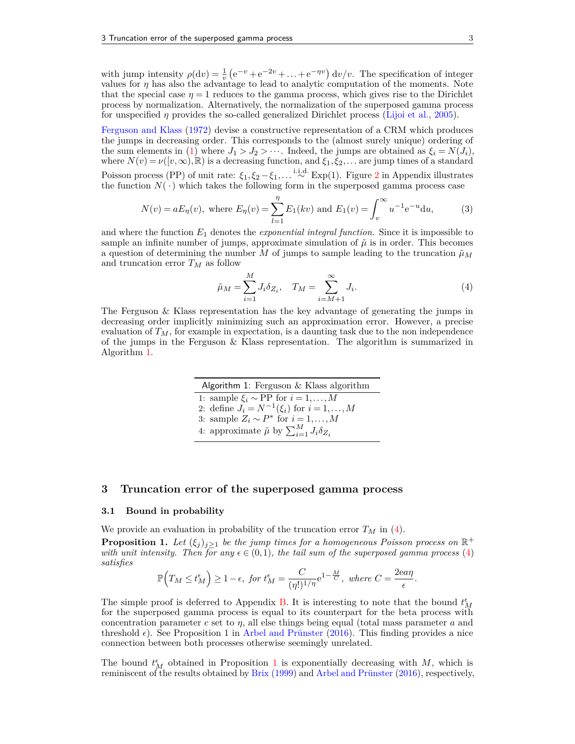with jump intensity  $\rho(\mathrm{d}v) = \frac{1}{v} \left( e^{-v} + e^{-2v} + \ldots + e^{-\eta v} \right) \mathrm{d}v/v$ . The specification of integer values for *η* has also the advantage to lead to analytic computation of the moments. Note that the special case  $\eta = 1$  reduces to the gamma process, which gives rise to the Dirichlet process by normalization. Alternatively, the normalization of the superposed gamma process for unspecified *η* provides the so-called generalized Dirichlet process [\(Lijoi et al.,](#page-4-16) [2005\)](#page-4-16).

[Ferguson and Klass](#page-4-6) [\(1972\)](#page-4-6) devise a constructive representation of a CRM which produces the jumps in decreasing order. This corresponds to the (almost surely unique) ordering of the sum elements in [\(1\)](#page-1-0) where  $J_1 > J_2 > \cdots$ . Indeed, the jumps are obtained as  $\xi_i = N(\tilde{J}_i)$ , where  $N(v) = \nu([v, \infty), \mathbb{R})$  is a decreasing function, and  $\xi_1, \xi_2, \ldots$  are jump times of a standard Poisson process (PP) of unit rate: *ξ*1*, ξ*<sup>2</sup> −*ξ*1*,...* <sup>i</sup>*.*i*.*d*.* ∼ Exp(1). Figure [2](#page-5-0) in Appendix illustrates the function  $N(\cdot)$  which takes the following form in the superposed gamma process case

$$
N(v) = aE_{\eta}(v), \text{ where } E_{\eta}(v) = \sum_{l=1}^{\eta} E_1(kv) \text{ and } E_1(v) = \int_v^{\infty} u^{-1} e^{-u} du,
$$
 (3)

and where the function  $E_1$  denotes the *exponential integral function*. Since it is impossible to sample an infinite number of jumps, approximate simulation of  $\tilde{\mu}$  is in order. This becomes a question of determining the number *M* of jumps to sample leading to the truncation  $\tilde{\mu}_M$ and truncation error  $T_M$  as follow

<span id="page-2-2"></span>
$$
\tilde{\mu}_M = \sum_{i=1}^M J_i \delta_{Z_i}, \quad T_M = \sum_{i=M+1}^{\infty} J_i.
$$
\n(4)

The Ferguson & Klass representation has the key advantage of generating the jumps in decreasing order implicitly minimizing such an approximation error. However, a precise evaluation of  $T_M$ , for example in expectation, is a daunting task due to the non independence of the jumps in the Ferguson & Klass representation. The algorithm is summarized in Algorithm [1.](#page-2-1)

> <span id="page-2-1"></span>Algorithm 1: Ferguson & Klass algorithm 1: sample *ξ<sup>i</sup>* ∼ PP for *i* = 1*,...,M* 2: define  $J_i = N^{-1}(\xi_i)$  for  $i = 1, ..., M$ 3: sample  $Z_i \sim P^*$  for  $i = 1, ..., M$ 4: approximate  $\tilde{\mu}$  by  $\sum_{i=1}^{M} J_i \delta_{Z_i}$

## <span id="page-2-4"></span>**3 Truncation error of the superposed gamma process**

#### <span id="page-2-0"></span>**3.1 Bound in probability**

We provide an evaluation in probability of the truncation error  $T_M$  in [\(4\)](#page-2-2).

<span id="page-2-3"></span>**Proposition 1.** Let  $(\xi_j)_{j\geq1}$  be the jump times for a homogeneous Poisson process on  $\mathbb{R}^+$ *with unit intensity. Then for any*  $\epsilon \in (0,1)$ *, the tail sum of the superposed gamma process* [\(4\)](#page-2-2) *satisfies*

$$
\mathbb{P}\Big(T_M \le t_M^{\epsilon}\Big) \ge 1 - \epsilon, \text{ for } t_M^{\epsilon} = \frac{C}{(\eta!)^{1/\eta}} e^{1 - \frac{M}{C}}, \text{ where } C = \frac{2ea\eta}{\epsilon}.
$$

The simple proof is deferred to Appendix [B.](#page-5-1) It is interesting to note that the bound  $t_M^{\epsilon}$ for the superposed gamma process is equal to its counterpart for the beta process with concentration parameter *c* set to *η*, all else things being equal (total mass parameter *a* and threshold  $\epsilon$ ). See Proposition 1 in [Arbel and Prünster](#page-4-0) [\(2016\)](#page-4-0). This finding provides a nice connection between both processes otherwise seemingly unrelated.

The bound  $t_M^{\epsilon}$  obtained in Proposition [1](#page-2-3) is exponentially decreasing with *M*, which is reminiscent of the results obtained by [Brix](#page-4-18) [\(1999\)](#page-4-18) and [Arbel and Prünster](#page-4-0) [\(2016\)](#page-4-0), respectively,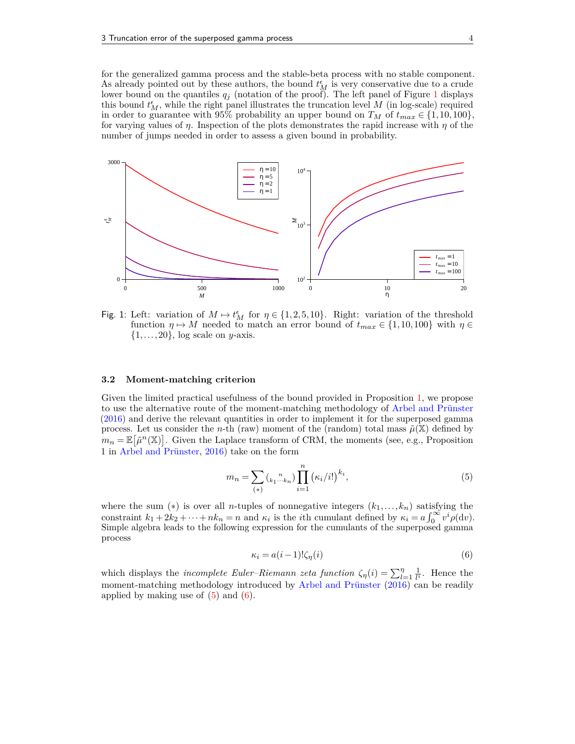for the generalized gamma process and the stable-beta process with no stable component. As already pointed out by these authors, the bound  $t_M^{\epsilon}$  is very conservative due to a crude lower bound on the quantiles *q<sup>j</sup>* (notation of the proof). The left panel of Figure [1](#page-3-1) displays this bound  $t_M^{\epsilon}$ , while the right panel illustrates the truncation level *M* (in log-scale) required in order to guarantee with 95% probability an upper bound on  $T_M$  of  $t_{max} \in \{1, 10, 100\}$ , for varying values of *η*. Inspection of the plots demonstrates the rapid increase with *η* of the number of jumps needed in order to assess a given bound in probability.



<span id="page-3-1"></span>Fig. 1: Left: variation of  $M \mapsto t_M^{\epsilon}$  for  $\eta \in \{1, 2, 5, 10\}$ . Right: variation of the threshold function  $\eta \mapsto M$  needed to match an error bound of  $t_{max} \in \{1, 10, 100\}$  with  $\eta \in$ {1*,...,*20}, log scale on *y*-axis.

#### <span id="page-3-0"></span>**3.2 Moment-matching criterion**

Given the limited practical usefulness of the bound provided in Proposition [1,](#page-2-3) we propose to use the alternative route of the moment-matching methodology of [Arbel and Prünster](#page-4-0) [\(2016\)](#page-4-0) and derive the relevant quantities in order to implement it for the superposed gamma process. Let us consider the *n*-th (raw) moment of the (random) total mass  $\tilde{\mu}(\mathbb{X})$  defined by  $m_n = \mathbb{E}[\tilde{\mu}^n(\mathbb{X})]$ . Given the Laplace transform of CRM, the moments (see, e.g., Proposition 1 in [Arbel and Prünster,](#page-4-0) [2016\)](#page-4-0) take on the form

<span id="page-3-2"></span>
$$
m_n = \sum_{(*)} {n \choose k_1 \cdots k_n} \prod_{i=1}^n (\kappa_i/i!)^{k_i},
$$
\n(5)

where the sum  $(*)$  is over all *n*-tuples of nonnegative integers  $(k_1, \ldots, k_n)$  satisfying the constraint  $k_1 + 2k_2 + \cdots + nk_n = n$  and  $\kappa_i$  is the *i*<sup>th</sup> cumulant defined by  $\kappa_i = a \int_0^\infty v^i \rho(\mathrm{d}v)$ . Simple algebra leads to the following expression for the cumulants of the superposed gamma process

<span id="page-3-3"></span>
$$
\kappa_i = a(i-1)!\zeta_\eta(i) \tag{6}
$$

which displays the *incomplete Euler–Riemann zeta function*  $\zeta_{\eta}(i) = \sum_{l=1}^{\eta} \frac{1}{l^i}$  $\frac{1}{l^i}$ . Hence the moment-matching methodology introduced by [Arbel and Prünster](#page-4-0) [\(2016\)](#page-4-0) can be readily applied by making use of  $(5)$  and  $(6)$ .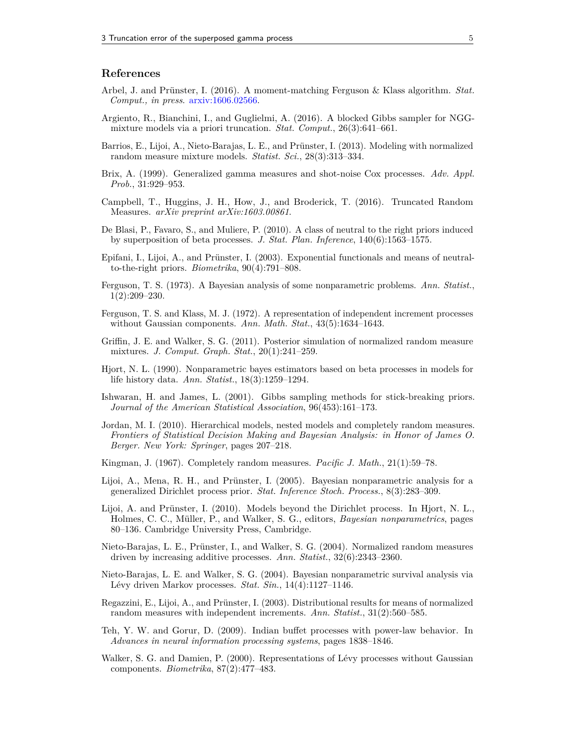## **References**

- <span id="page-4-0"></span>Arbel, J. and Prünster, I. (2016). A moment-matching Ferguson & Klass algorithm. *Stat. Comput., in press*. [arxiv:1606.02566.](http://arxiv.org/abs/1606.02566)
- <span id="page-4-8"></span>Argiento, R., Bianchini, I., and Guglielmi, A. (2016). A blocked Gibbs sampler for NGGmixture models via a priori truncation. *Stat. Comput.*, 26(3):641–661.
- <span id="page-4-9"></span>Barrios, E., Lijoi, A., Nieto-Barajas, L. E., and Prünster, I. (2013). Modeling with normalized random measure mixture models. *Statist. Sci.*, 28(3):313–334.
- <span id="page-4-18"></span>Brix, A. (1999). Generalized gamma measures and shot-noise Cox processes. *Adv. Appl. Prob.*, 31:929–953.
- <span id="page-4-4"></span>Campbell, T., Huggins, J. H., How, J., and Broderick, T. (2016). Truncated Random Measures. *arXiv preprint arXiv:1603.00861*.
- <span id="page-4-10"></span>De Blasi, P., Favaro, S., and Muliere, P. (2010). A class of neutral to the right priors induced by superposition of beta processes. *J. Stat. Plan. Inference*, 140(6):1563–1575.
- <span id="page-4-11"></span>Epifani, I., Lijoi, A., and Prünster, I. (2003). Exponential functionals and means of neutralto-the-right priors. *Biometrika*, 90(4):791–808.
- <span id="page-4-3"></span>Ferguson, T. S. (1973). A Bayesian analysis of some nonparametric problems. *Ann. Statist.*, 1(2):209–230.
- <span id="page-4-6"></span>Ferguson, T. S. and Klass, M. J. (1972). A representation of independent increment processes without Gaussian components. *Ann. Math. Stat.*, 43(5):1634–1643.
- <span id="page-4-12"></span>Griffin, J. E. and Walker, S. G. (2011). Posterior simulation of normalized random measure mixtures. *J. Comput. Graph. Stat.*, 20(1):241–259.
- <span id="page-4-20"></span>Hjort, N. L. (1990). Nonparametric bayes estimators based on beta processes in models for life history data. *Ann. Statist.*, 18(3):1259–1294.
- <span id="page-4-5"></span>Ishwaran, H. and James, L. (2001). Gibbs sampling methods for stick-breaking priors. *Journal of the American Statistical Association*, 96(453):161–173.
- <span id="page-4-2"></span>Jordan, M. I. (2010). Hierarchical models, nested models and completely random measures. *Frontiers of Statistical Decision Making and Bayesian Analysis: in Honor of James O. Berger. New York: Springer*, pages 207–218.
- <span id="page-4-17"></span>Kingman, J. (1967). Completely random measures. *Pacific J. Math.*, 21(1):59–78.
- <span id="page-4-16"></span>Lijoi, A., Mena, R. H., and Prünster, I. (2005). Bayesian nonparametric analysis for a generalized Dirichlet process prior. *Stat. Inference Stoch. Process.*, 8(3):283–309.
- <span id="page-4-1"></span>Lijoi, A. and Prünster, I. (2010). Models beyond the Dirichlet process. In Hjort, N. L., Holmes, C. C., Müller, P., and Walker, S. G., editors, *Bayesian nonparametrics*, pages 80–136. Cambridge University Press, Cambridge.
- <span id="page-4-13"></span>Nieto-Barajas, L. E., Prünster, I., and Walker, S. G. (2004). Normalized random measures driven by increasing additive processes. *Ann. Statist.*, 32(6):2343–2360.
- <span id="page-4-14"></span>Nieto-Barajas, L. E. and Walker, S. G. (2004). Bayesian nonparametric survival analysis via Lévy driven Markov processes. *Stat. Sin.*, 14(4):1127–1146.
- <span id="page-4-15"></span>Regazzini, E., Lijoi, A., and Prünster, I. (2003). Distributional results for means of normalized random measures with independent increments. *Ann. Statist.*, 31(2):560–585.
- <span id="page-4-19"></span>Teh, Y. W. and Gorur, D. (2009). Indian buffet processes with power-law behavior. In *Advances in neural information processing systems*, pages 1838–1846.
- <span id="page-4-7"></span>Walker, S. G. and Damien, P. (2000). Representations of Lévy processes without Gaussian components. *Biometrika*, 87(2):477–483.